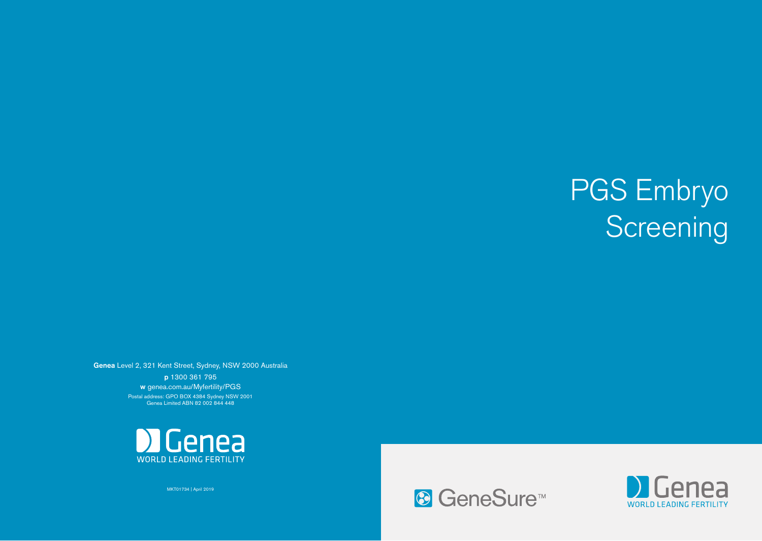# PGS Embryo Screening

Genea Level 2, 321 Kent Street, Sydney, NSW 2000 Australia p 1300 361 795 w genea.com.au/Myfertility/PGS Postal address: GPO BOX 4384 Sydney NSW 2001 Genea Limited ABN 82 002 844 448



MKT01734 | April 2019

<sup>®</sup> GeneSure<sup>™</sup>

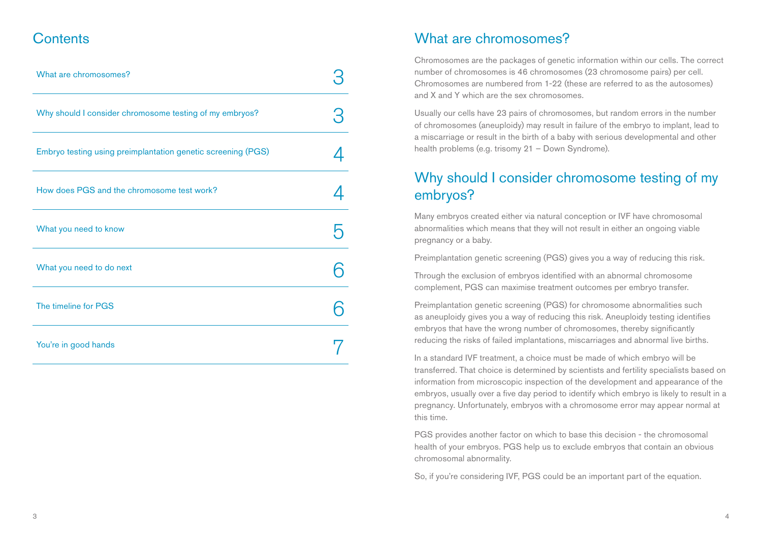### **Contents**

| What are chromosomes?                                        |  |
|--------------------------------------------------------------|--|
| Why should I consider chromosome testing of my embryos?      |  |
| Embryo testing using preimplantation genetic screening (PGS) |  |
| How does PGS and the chromosome test work?                   |  |
| What you need to know                                        |  |
| What you need to do next                                     |  |
| The timeline for PGS                                         |  |
| You're in good hands                                         |  |

## What are chromosomes?

Chromosomes are the packages of genetic information within our cells. The correct number of chromosomes is 46 chromosomes (23 chromosome pairs) per cell. Chromosomes are numbered from 1-22 (these are referred to as the autosomes) and X and Y which are the sex chromosomes.

Usually our cells have 23 pairs of chromosomes, but random errors in the number of chromosomes (aneuploidy) may result in failure of the embryo to implant, lead to a miscarriage or result in the birth of a baby with serious developmental and other health problems (e.g. trisomy 21 – Down Syndrome).

## Why should I consider chromosome testing of my embryos?

Many embryos created either via natural conception or IVF have chromosomal abnormalities which means that they will not result in either an ongoing viable pregnancy or a baby.

Preimplantation genetic screening (PGS) gives you a way of reducing this risk.

Through the exclusion of embryos identified with an abnormal chromosome complement, PGS can maximise treatment outcomes per embryo transfer.

Preimplantation genetic screening (PGS) for chromosome abnormalities such as aneuploidy gives you a way of reducing this risk. Aneuploidy testing identifies embryos that have the wrong number of chromosomes, thereby significantly reducing the risks of failed implantations, miscarriages and abnormal live births.

In a standard IVF treatment, a choice must be made of which embryo will be transferred. That choice is determined by scientists and fertility specialists based on information from microscopic inspection of the development and appearance of the embryos, usually over a five day period to identify which embryo is likely to result in a pregnancy. Unfortunately, embryos with a chromosome error may appear normal at this time.

PGS provides another factor on which to base this decision - the chromosomal health of your embryos. PGS help us to exclude embryos that contain an obvious chromosomal abnormality.

So, if you're considering IVF, PGS could be an important part of the equation.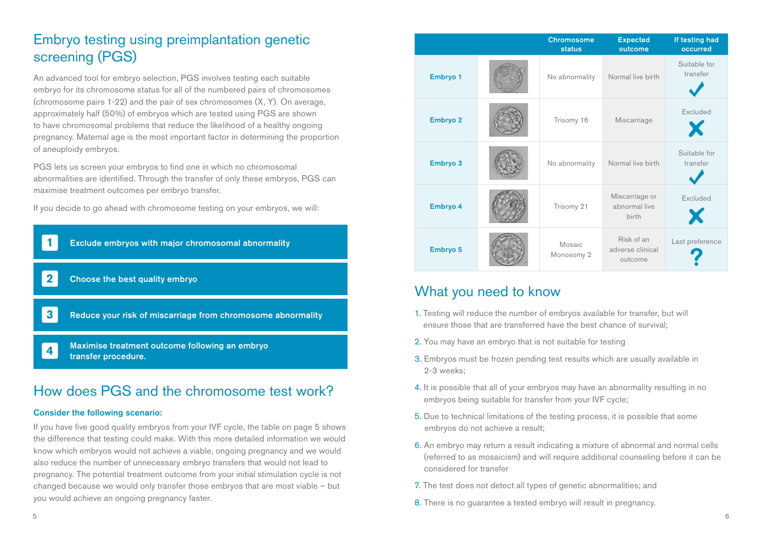# Embryo testing using preimplantation genetic screening (PGS)

An advanced tool for embryo selection, PGS involves testing each suitable embryo for its chromosome status for all of the numbered pairs of chromosomes (chromosome pairs 1-22) and the pair of sex chromosomes (X, Y). On average, approximately half (50%) of embryos which are tested using PGS are shown to have chromosomal problems that reduce the likelihood of a healthy ongoing pregnancy. Maternal age is the most important factor in determining the proportion of aneuploidy embryos.

PGS lets us screen your embryos to find one in which no chromosomal abnormalities are identified. Through the transfer of only these embryos, PGS can maximise treatment outcomes per embryo transfer.

If you decide to go ahead with chromosome testing on your embryos, we will:



## How does PGS and the chromosome test work?

#### Consider the following scenario:

If you have five good quality embryos from your IVF cycle, the table on page 5 shows the difference that testing could make. With this more detailed information we would know which embryos would not achieve a viable, ongoing pregnancy and we would also reduce the number of unnecessary embryo transfers that would not lead to pregnancy. The potential treatment outcome from your initial stimulation cycle is not changed because we would only transfer those embryos that are most viable – but you would achieve an ongoing pregnancy faster.

|          | <b>Chromosome</b><br><b>status</b> | <b>Expected</b><br>outcome                | If testing had<br>occurred |
|----------|------------------------------------|-------------------------------------------|----------------------------|
| Embryo 1 | No abnormality                     | Normal live birth                         | Suitable for<br>transfer   |
| Embryo 2 | Trisomy 16                         | Miscarriage                               | Excluded<br>Х              |
| Embryo 3 | No abnormality                     | Normal live birth                         | Suitable for<br>transfer   |
| Embryo 4 | Trisomy 21                         | Miscarriage or<br>abnormal live<br>birth  | Excluded<br>X              |
| Embryo 5 | Mosaic<br>Monosomy 2               | Risk of an<br>adverse clinical<br>outcome | Last preference            |

## What you need to know

- 1. Testing will reduce the number of embryos available for transfer, but will ensure those that are transferred have the best chance of survival;
- 2. You may have an embryo that is not suitable for testing
- 3. Embryos must be frozen pending test results which are usually available in 2-3 weeks;
- 4. It is possible that all of your embryos may have an abnormality resulting in no embryos being suitable for transfer from your IVF cycle;
- 5. Due to technical limitations of the testing process, it is possible that some embryos do not achieve a result;
- 6. An embryo may return a result indicating a mixture of abnormal and normal cells (referred to as mosaicism) and will require additional counseling before it can be considered for transfer
- 7. The test does not detect all types of genetic abnormalities; and
- 8. There is no guarantee a tested embryo will result in pregnancy.